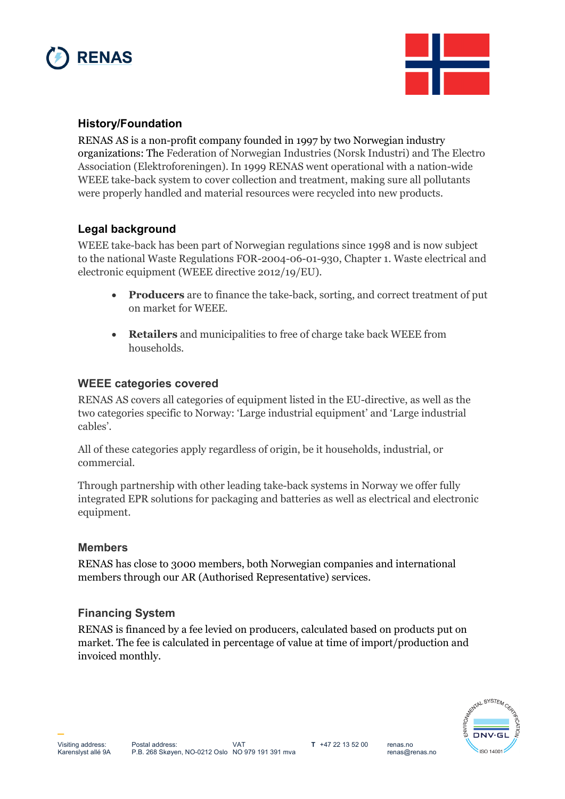



## **History/Foundation**

RENAS AS is a non-profit company founded in 1997 by two Norwegian industry organizations: The Federation of Norwegian Industries (Norsk Industri) and The Electro Association (Elektroforeningen). In 1999 RENAS went operational with a nation-wide WEEE take-back system to cover collection and treatment, making sure all pollutants were properly handled and material resources were recycled into new products.

# **Legal background**

WEEE take-back has been part of Norwegian regulations since 1998 and is now subject to the national Waste Regulations FOR-2004-06-01-930, Chapter 1. Waste electrical and electronic equipment (WEEE directive 2012/19/EU).

- **Producers** are to finance the take-back, sorting, and correct treatment of put on market for WEEE.
- **Retailers** and municipalities to free of charge take back WEEE from households.

### **WEEE categories covered**

RENAS AS covers all categories of equipment listed in the EU-directive, as well as the two categories specific to Norway: 'Large industrial equipment' and 'Large industrial cables'.

All of these categories apply regardless of origin, be it households, industrial, or commercial.

Through partnership with other leading take-back systems in Norway we offer fully integrated EPR solutions for packaging and batteries as well as electrical and electronic equipment.

#### **Members**

RENAS has close to 3000 members, both Norwegian companies and international members through our AR (Authorised Representative) services.

### **Financing System**

RENAS is financed by a fee levied on producers, calculated based on products put on market. The fee is calculated in percentage of value at time of import/production and invoiced monthly.



**\_**